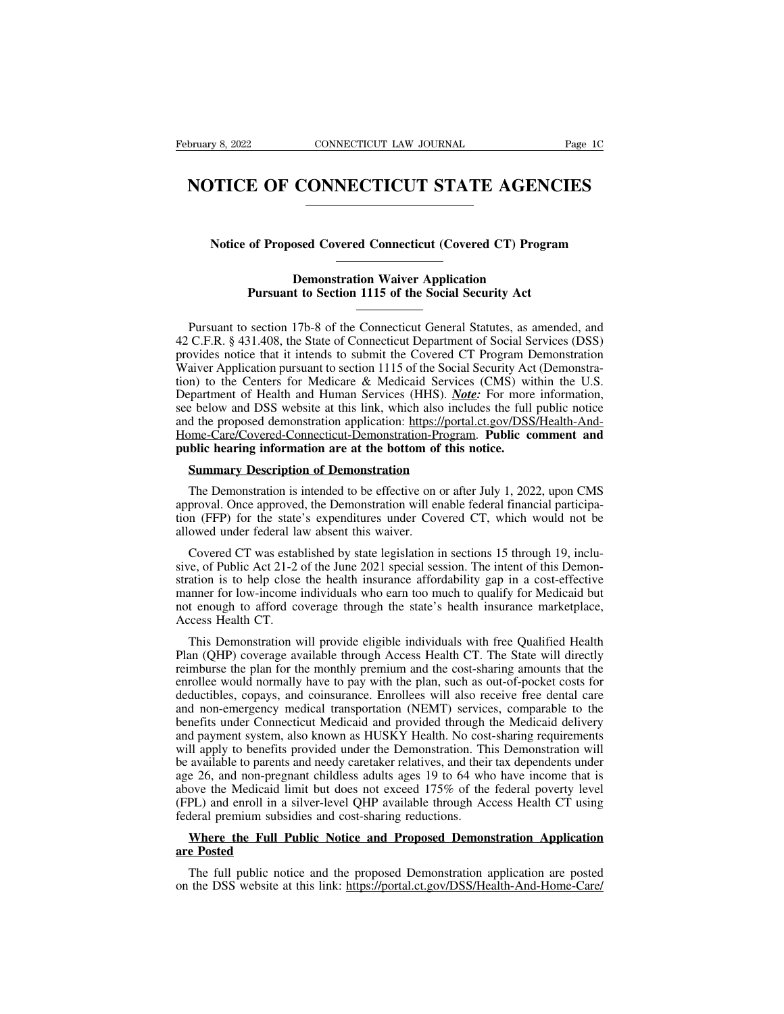## **Example 3, 2022** CONNECTICUT LAW JOURNAL Page 1C<br> **NOTICE OF CONNECTICUT STATE AGENCIES NOTICE OF CONNECTICUT STATE AGENCIES**<br>
Notice of Proposed Covered Connecticut (Covered CT) Program<br>
Demographics Weigen Application

### **NOTICE OF CONNECTICUT STATE AGENCIES**<br>
Notice of Proposed Covered Connecticut (Covered CT) Program<br>
Demonstration Waiver Application<br>
Pursuant to Section 1115 of the Social Security Act of Proposed Covered Connecticut (Covered CT) Program<br>
Demonstration Waiver Application<br>
Pursuant to Section 1115 of the Social Security Act

Notice of Proposed Covered Connecticut (Covered CT) Program<br>
Demonstration Waiver Application<br>
Pursuant to Section 1115 of the Social Security Act<br>
Pursuant to section 17b-8 of the Connecticut General Statutes, as amended, From Connection Connection (Connection Connection Connection<br>
Pursuant to Section 1115 of the Social Security Act<br>
Pursuant to section 17b-8 of the Connecticut General Statutes, as amended, and<br>
42 C.F.R. § 431.408, the St **Demonstration Waiver Application**<br> **Pursuant to Section 1115 of the Social Security Act**<br> **Pursuant to section 17b-8 of the Connecticut General Statutes, as amended, and<br>
42 C.F.R. § 431.408, the State of Connecticut Depa Demonstration Waiver Application**<br> **Pursuant to Section 1115 of the Social Security Act**<br> **Pursuant to section 17b-8 of the Connecticut General Statutes, as amended, and<br>
42 C.F.R. § 431.408, the State of Connecticut Depa Pursuant to Section 1115 of the Social Security Act**<br> **Pursuant to section 17b-8 of the Connecticut General Statutes, as amended, and 42 C.F.R. § 431.408, the State of Connecticut Department of Social Services (DSS) provi** Pursuant to section 17b-8 of the Connecticut General Statutes, as amended, and 42 C.F.R. § 431.408, the State of Connecticut Department of Social Services (DSS) provides notice that it intends to submit the Covered CT Prog Pursuant to section 17b-8 of the Connecticut General Statutes, as amended, and 42 C.F.R. § 431.408, the State of Connecticut Department of Social Services (DSS) provides notice that it intends to submit the Covered CT Prog Fusual to section 170-8 of the Connecticut Ocheral statutes, as antended, and 42 C.F.R. § 431.408, the State of Connecticut Department of Social Services (DSS) provides notice that it intends to submit the Covered CT Progr 42 C.F.R. § 451.406, the state of Connecticut Department of Social Services (DSS)<br>provides notice that it intends to submit the Covered CT Program Demonstration<br>Waiver Application pursuant to section 1115 of the Social Sec provides notice that it mients to submit the Covered C1 Program L<br>Waiver Application pursuant to section 1115 of the Social Security Ac<br>tion) to the Centers for Medicare & Medicaid Services (CMS) wi<br>Department of Health an Im to the Centers for Medicare & Medicaid Services<br>
Supartment of Health and Human Services (HHS). Note<br>
Le below and DSS website at this link, which also include<br>
the proposed demonstration application: https://portal<br>
<u>h</u> is below and DSS website at this link, which also includes the full public notice<br>of the proposed demonstration application: https://portal.ct.gov/DSS/Health-And-<br>ome-Care/Covered-Connecticut-Demonstration-Program. **Public** 

and the proposed demonstration application: https://portal.ct.gov/DSS/Health-And-Home-Care/Covered-Connecticut-Demonstration-Program. Public comment and public hearing information are at the bottom of this notice.<br>Summary Home-Care/Covered-Connecticut-Demonstration-Program. Public comment and<br>public hearing information are at the bottom of this notice.<br>Summary Description of Demonstration<br>The Demonstration is intended to be effective on or **public hearing information are at the bottom of<br>
Summary Description of Demonstration**<br>
The Demonstration is intended to be effective on approval. Once approved, the Demonstration will er<br>
tion (FFP) for the state's expen **Summary Description of Demonstration**<br>The Demonstration is intended to be effective on or after July 1, 2022, upon CMS<br>proval. Once approved, the Demonstration will enable federal financial participa-<br>in (FFP) for the sta

The Demonstration is intended to be effective on or after July 1, 2022, upon CMS<br>approval. Once approved, the Demonstration will enable federal financial participa-<br>tion (FFP) for the state's expenditures under Covered CT, The Demonstration is intended to be effective on or after July 1, 2022, upon CMS<br>approval. Once approved, the Demonstration will enable federal financial participa-<br>tion (FFP) for the state's expenditures under Covered CT, approval. Once approved, the Demonstration will enable federal financial participation (FFP) for the state's expenditures under Covered CT, which would not be allowed under federal law absent this waiver.<br>Covered CT was es tion (FFP) for the state's expenditures under Covered CT, which would not be allowed under federal law absent this waiver.<br>
Covered CT was established by state legislation in sections 15 through 19, inclu-<br>
sive, of Public allowed under federal la<br>Covered CT was estab<br>sive, of Public Act 21-2 e<br>stration is to help close<br>manner for low-income i<br>not enough to afford cc<br>Access Health CT.<br>This Demonstration w<br>Plan (OUP) soughts of Covered CT was established by state legislation in sections 15 through 19, inclu-<br>ve, of Public Act 21-2 of the June 2021 special session. The intent of this Demon-<br>ation is to help close the health insurance affordability sive, of Public Act 21-2 of the June 2021 special session. The intent of this Demonstration is to help close the health insurance affordability gap in a cost-effective manner for low-income individuals who earn too much to

stration is to help close the health insurance affordability gap in a cost-effective<br>manner for low-income individuals who earn too much to qualify for Medicaid but<br>not enough to afford coverage through the state's health manner for low-income individuals who earn too much to qualify for Medicaid but<br>not enough to afford coverage through the state's health insurance marketplace,<br>Access Health CT.<br>This Demonstration will provide eligible ind not enough to afford coverage through the state's health insurance marketplace,<br>Access Health CT.<br>This Demonstration will provide eligible individuals with free Qualified Health<br>Plan (QHP) coverage available through Access Access Health CT.<br>This Demonstration will provide eligible individuals with free Qualified Health<br>Plan (QHP) coverage available through Access Health CT. The State will directly<br>reimburse the plan for the monthly premium a This Demonstration will provide eligible individuals with free Qualified Health<br>Plan (QHP) coverage available through Access Health CT. The State will directly<br>reimburse the plan for the monthly premium and the cost-sharin This Demonstration win provide engible marviolals with rice Quantica Team<br>Plan (QHP) coverage available through Access Health CT. The State will directly<br>reimburse the plan for the monthly premium and the cost-sharing amou Francouries the plan for the monthly premium and the cost-sharing amounts that the enrollee would normally have to pay with the plan, such as out-of-pocket costs for deductibles, copays, and coinsurance. Enrollees will als be available to parents and consumption and the cost-sharing amounts that the enrollee would normally have to pay with the plan, such as out-of-pocket costs for deductibles, copays, and coinsurance. Enrollees will also rec emonce would nothinary have to pay what the plant, such as out-or-poeker costs for<br>deductibles, copays, and coinsurance. Enrollees will also receive free dental care<br>and non-emergency medical transportation (NEMT) services aculationes, copays, and consurance. Enforces will also receive free dental care<br>and non-emergency medical transportation (NEMT) services, comparable to the<br>benefits under Connecticut Medicaid and provided through the Medi and non-entergency medical transportation (NEWT) services, comparable to the<br>benefits under Connecticut Medicaid and provided through the Medicaid delivery<br>and payment system, also known as HUSKY Health. No cost-sharing re benefits under Connecticut Medicald and provided unough and payment system, also known as HUSKY Health. No cost will apply to benefits provided under the Demonstration. The available to parents and needy caretaker relative Il apply to benefits provided under the Demonstration. This Demonstration will<br>available to parents and needy caretaker relatives, and their tax dependents under<br>e 26, and non-pregnant childless adults ages 19 to 64 who ha be available to parents and needy caretaker relatives, and their tax dependents under<br>age 26, and non-pregnant childless adults ages 19 to 64 who have income that is<br>above the Medicaid limit but does not exceed 175% of the ove the Medicaid limit but does not exceed 175% of the federal poverty level<br>PL) and enroll in a silver-level QHP available through Access Health CT using<br>deral premium subsidies and cost-sharing reductions.<br>Where the Full (FPL) and enroll in a silver-level QHP available through Access Health CT using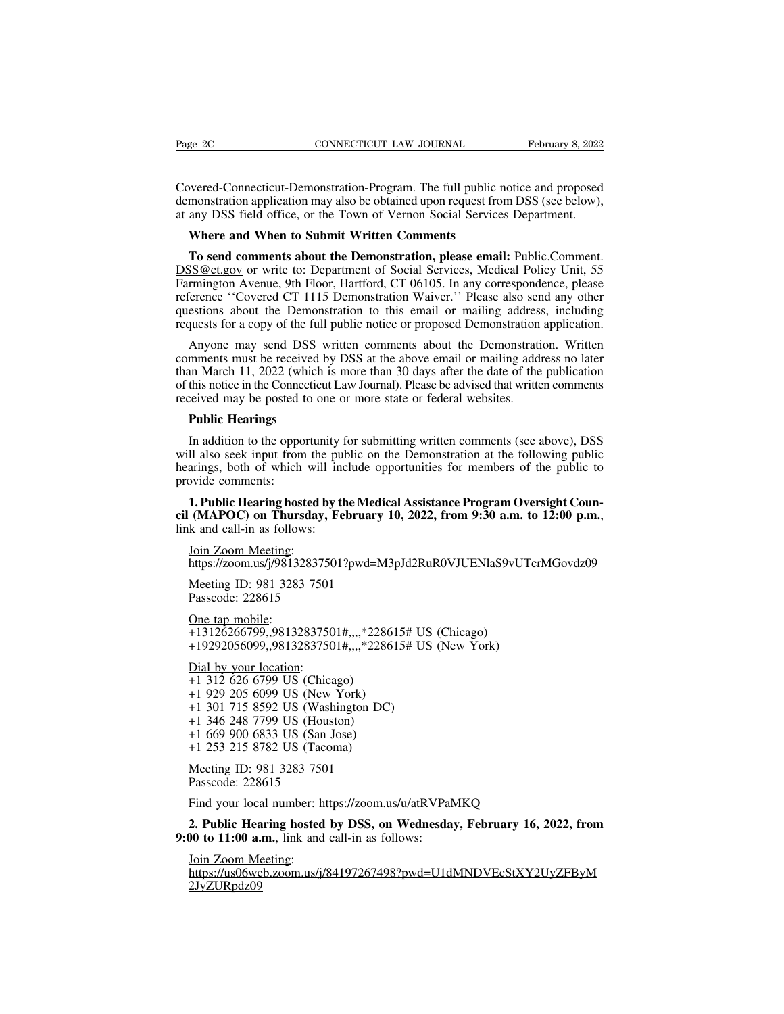Page 2C CONNECTICUT LAW JOURNAL February 8, 2022<br>Covered-Connecticut-Demonstration-Program. The full public notice and proposed<br>demonstration application may also be obtained upon request from DSS (see below),<br>at any DSS f Page 2C CONNECTICUT LAW JOURNAL February 8, 2022<br>Covered-Connecticut-Demonstration-Program. The full public notice and proposed<br>demonstration application may also be obtained upon request from DSS (see below),<br>at any DSS f Page 2C CONNECTICUT LAW JOURNAL February 8, 2022<br>Covered-Connecticut-Demonstration-Program. The full public notice and proposed<br>demonstration application may also be obtained upon request from DSS (see below),<br>at any DSS f Page 2C CONNECTICUT LAW JOURNAL February 8, 2022<br>
Covered-Connecticut-Demonstration-Program. The full public notice and proposed<br>
demonstration application may also be obtained upon request from DSS (see below),<br>
at any DS

**The send connecticut-Demonstration-Program**. The full public notice and proposed monstration application may also be obtained upon request from DSS (see below), any DSS field office, or the Town of Vernon Social Services Covered-Connecticut-Demonstration-Program. The full public notice and proposed<br>demonstration application may also be obtained upon request from DSS (see below),<br>at any DSS field office, or the Town of Vernon Social Service demonstration application may also be obtained upon request from DSS (see below),<br>at any DSS field office, or the Town of Vernon Social Services Department.<br>**Where and When to Submit Written Comments**<br>**To send comments abo** at any DSS field office, or the Town of Vernon Social Services Department.<br> **Where and When to Submit Written Comments**<br> **To send comments about the Demonstration, please email:** <u>Public.Comment.</u><br>
DSS@ct.gov or write to: Where and When to Submit Written Comments<br>To send comments about the Demonstration, please email: Public.Comment.<br>DSS@ct.gov or write to: Department of Social Services, Medical Policy Unit, 55<br>Farmington Avenue, 9th Floor, **Where and When to Submit Written Comments**<br> **To send comments about the Demonstration, please email:** <u>Public Comment.</u><br>
DSS@ct.gov</u> or write to: Department of Social Services, Medical Policy Unit, 55<br>
Farmington Avenue, To send comments about the Demonstration, please email: Public.Comment.<br>
SS@ct.gov</u> or write to: Department of Social Services, Medical Policy Unit, 55<br>
rmington Avenue, 9th Floor, Hartford, CT 06105. In any correspondence  $\frac{DSS@ct.gov}{DSS@ct.gov}$  or write to: Department of Social Services, Medical Policy Unit, 55<br>Farmington Avenue, 9th Floor, Hartford, CT 06105. In any correspondence, please<br>reference "Covered CT 1115 Demonstration Waiver." Ple

Farmington Avenue, 9th Floor, Hartford, CT 06105. In any correspondence, please reference "Covered CT 1115 Demonstration Waiver." Please also send any other questions about the Demonstration to this email or mailing addres reference "Covered CT 1115 Demonstration Waiver." Please also send any other<br>questions about the Demonstration to this email or mailing address, including<br>requests for a copy of the full public notice or proposed Demonstra questions about the Demonstration to this email or mailing address<br>requests for a copy of the full public notice or proposed Demonstration<br>Anyone may send DSS written comments about the Demonstratio<br>comments must be receiv Anyone may send DSS<br>
Anyone may send DSS<br>
mments must be received<br>
an March 11, 2022 (which<br>
this notice in the Connectic<br>
reived may be posted to c<br> **Public Hearings**<br>
In addition to the opportu In my out the received by DSS at the above email or mailing address no later an March 11, 2022 (which is more than 30 days after the date of the publication this notice in the Connecticut Law Journal). Please be advised th

whill a March 11, 2022 (which is more than 30 days after the date of the publication of this notice in the Connecticut Law Journal). Please be advised that written comments received may be posted to one or more state or fe heart which is notice in the Connecticut Law Journal). Please be advised that written comments<br>of this notice in the Connecticut Law Journal). Please be advised that written comments<br>received may be posted to one or more s provide may be posted to<br> **Public Hearings**<br>
In addition to the oppoint management of the search<br>
management of the provide comments:<br>
1. Public Hearing host<br>
cil (MAPOC) on Thurse **Public Hearings**<br>In addition to the opportunity for submitting written comments (see above), DSS<br>Il also seek input from the public on the Demonstration at the following public<br>arings, both of which will include opportuni In addition to the opportunity for submitting written comments (see above), DSS<br>will also seek input from the public on the Demonstration at the following public<br>hearings, both of which will include opportunities for membe

mans, both of which will<br>arings, both of which will<br>ovide comments:<br>1. Public Hearing hosted b<br>(MAPOC) on Thursday,<br>k and call-in as follows:<br>Join Zoom Meeting:<br>https://zoom.us/j/98132837;<br>Meeting ID: 081.3283.750 **1. Public Hearing hosted by the Medic:**<br>
(MAPOC) on Thursday, February 1<br>
k and call-in as follows:<br>
Join Zoom Meeting:<br>
https://zoom.us/j/98132837501?pwd=M3<br>
Meeting ID: 981 3283 7501<br>
Passcode: 228615 (MAPOC) on Thursday, F<br>
k and call-in as follows:<br>
Join Zoom Meeting:<br>
https://zoom.us/j/9813283750<br>
Meeting ID: 981 3283 7501<br>
Passcode: 228615<br>
One tap mobile:<br>
13126266700 08132837501

https://zoom.us/j/98132837501?pwd=M3pJd2RuR0VJUENlaS9vUTcrMGovdz09 Join Zoom Meeting:<br>
https://zoom.us/j/98132837501?pwd=M3pJd2RuR0VJUENlaS9vU.<br>
Meeting ID: 981 3283 7501<br>
Passcode: 228615<br>
One tap mobile:<br>
+13126266799,,98132837501#,,,,\*228615# US (Chicago)<br>
+19292056099,,98132837501#,,,

k and call-in as follow<br>
<u>Join Zoom Meeting</u>:<br>
https://zoom.us/j/98132<br>
Meeting ID: 981 3283<br>
Passcode: 228615<br>
<u>One tap mobile</u>:<br>
+13126266799,,98132<br>
+19292056099,,98132 **https://zoom.us/j/98132837501?pwd=M3pJd2RuR0VJUENlaS9vUTc**<br>https://zoom.us/j/98132837501?pwd=M3pJd2RuR0VJUENlaS9vUTc<br>Meeting ID: 981 3283 7501<br>Passcode: 228615<br>413126266799,,98132837501#,,,,\*228615# US (Chicago)<br>+19292056

Meeting ID: 981 3283 7501<br>Passcode: 228615<br>One tap mobile:<br>+13126266799,,9813283750<br>+19292056099,,9813283750<br>Dial by your location:<br>+1 312 626 6799 US (Chica<br>+1 929 205 6099 US (New mosascode: 228615<br>
One tap mobile:<br>
+13126266799,,98132837501#,,,,\*2286<br>
+19292056099,,98132837501#,,,,\*2286<br>
Dial by your location:<br>
+1 312 626 6799 US (Chicago)<br>
+1 929 205 6099 US (New York)<br>
+1 301 715 8592 US (Washing The tap mobile:<br>
+13126266799,,98132837501#,,,,\*228615<br>
+19292056099,,98132837501#,,,,\*228615<br>
<u>Dial by your location</u>:<br>
+1 312 626 6799 US (Chicago)<br>
+1 929 205 6099 US (New York)<br>
+1 301 715 8592 US (Washington DC)<br>
+1 3 One tap mobile:<br>+13126266799,,98132837501#,,,,\*228615# US<br>+19292056099,,98132837501#,,,,\*228615# US<br>Dial by your location:<br>+1 312 626 6799 US (Chicago)<br>+1 929 205 6099 US (New York)<br>+1 301 715 8592 US (Washington DC)<br>+1 34 +13126266799,,98132837501#,,,,\*2286<br>+19292056099,,98132837501#,,,,\*2286<br>Dial by your location:<br>+1 312 626 6799 US (Chicago)<br>+1 929 205 6099 US (New York)<br>+1 301 715 8592 US (Washington DC)<br>+1 346 248 7799 US (Houston)<br>+1 6 +19292056099,,98132837501#,,,,\*2286<br>
Dial by your location:<br>
+1 312 626 6799 US (Chicago)<br>
+1 929 205 6099 US (New York)<br>
+1 301 715 8592 US (Washington DC)<br>
+1 346 248 7799 US (Houston)<br>
+1 669 900 6833 US (San Jose)<br>
+1 Dial by your location:<br>
+1 312 626 6799 US (Chicago)<br>
+1 929 205 6099 US (New York)<br>
+1 301 715 8592 US (Washington DC<br>
+1 346 248 7799 US (Houston)<br>
+1 669 900 6833 US (San Jose)<br>
+1 253 215 8782 US (Tacoma)<br>
Meeting ID: +1 312 626 6799 US (Chicago)<br>+1 929 205 6099 US (New York)<br>+1 301 715 8592 US (Washington DC)<br>+1 346 248 7799 US (Houston)<br>+1 669 900 6833 US (San Jose)<br>+1 253 215 8782 US (Tacoma)<br>Meeting ID: 981 3283 7501<br>Passcode: 22861 +1 929 205 6099 US (New 1<br>+1 301 715 8592 US (Washi<br>+1 346 248 7799 US (Houst<br>+1 669 900 6833 US (San Jo<br>+1 253 215 8782 US (Tacon<br>Meeting ID: 981 3283 7501<br>Passcode: 228615<br>Find your local number: http Find your local number: https://zoom.us/u/atRVPaMKQ<br>Find your local number: https://zoom.us/u/atRVPaMKQ<br>Find your local number: https://zoom.us/u/atRVPaMKQ<br>2. Public Hearing hosted by DSS, on Wednesday, February 16, 202<br>2

**2. Public Hearing hosted by DSS, on Wednesday, February 16, 2022, from** +1 253 215 8782 US (Tacoma)<br>
Meeting ID: 981 3283 7501<br>
Passcode: 228615<br>
Find your local number: https://zoom.us/u/atRVPaN<br>
2. Public Hearing hosted by DSS, on Wednesda:<br>
9:00 to 11:00 a.m., link and call-in as follows:<br>

Meeting ID: 981 3283 750<br>Passcode: 228615<br>Find your local number: h<br>**2. Public Hearing hosted<br>00 to 11:00 a.m.**, link and<br>Join Zoom Meeting:<br>https://us06web.zoom.us/j/<br>2JyZURpdz09 https://us06web.zoom.us/j/84197267498?pwd=U1dMNDVEcStXY2UyZFByM 2JyZURpdz09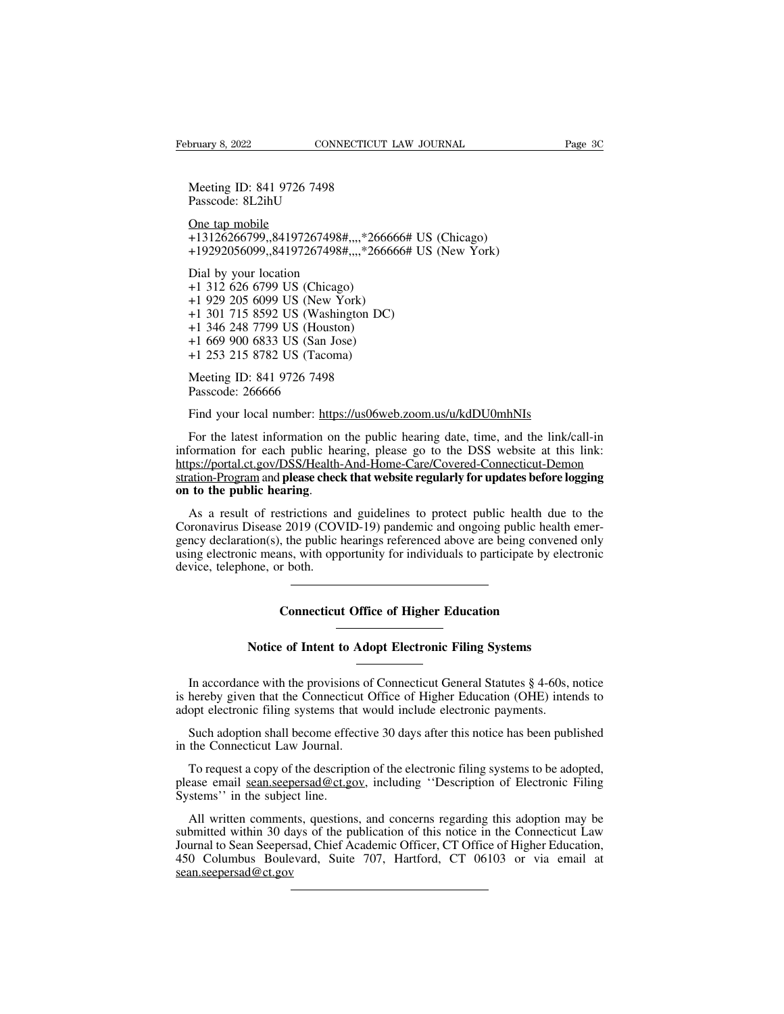Bruary 8, 2022<br>
Meeting ID: 841 9726 7498<br>
Passcode: 8L2ihU bruary 8, 2022<br>
Meeting ID: 841 9726 7498<br>
Passcode: 8L2ihU<br>
One tap mobile<br>
131363666700, 84197367408#

8, 2022<br>
Meeting ID: 841 9726 74<br>
Meeting ID: 841 9726 74<br>
Passcode: 8L2ihU<br>
One tap mobile<br>
+13126266799,,84197267<br>
+19292056099,,84197267 Francy 8, 2022<br>
Meeting ID: 841 9726 7498<br>
Passcode: 8L2ihU<br>
One tap mobile<br>
+13126266799,,84197267498#,,,,\*266666# US (Chicago)<br>
+19292056099,,84197267498#,,,,\*266666# US (New York) Meeting ID: 841 9726 7498<br>
Passcode: 8L2ihU<br>
<u>One tap mobile</u><br>
+13126266799,,84197267498#,,,,\*266666# US (Chicago)<br>
+19292056099,,84197267498#,,,,\*266666# US (New York)<br>
Dial by your location<br>
+1313.626.6799 US (Chicago) Meeting ID: 841 9726 7498<br>Passcode: 8L2ihU<br><u>One tap mobile</u><br>+13126266799,,84197267498#,,,<br>+19292056099,,84197267498#,,,<br>Dial by your location<br>+1 312 626 6799 US (Chicago)<br>+1 929 205 6099 US (New Yorl

Passcode: 8L2ihU<br>
One tap mobile<br>
+13126266799,,84197267498#,,,,\*2666<br>
+19292056099,,84197267498#,,,,\*2666<br>
Dial by your location<br>
+1 312 626 6799 US (Chicago)<br>
+1 929 205 6099 US (New York)<br>
+1 301 715 8592 US (Washington One tap mobile<br>
+13126266799,,84197267498#,,,,\*266666<br>
+19292056099,,84197267498#,,,,\*266666<br>
Dial by your location<br>
+1 312 626 6799 US (Chicago)<br>
+1 929 205 6099 US (New York)<br>
+1 301 715 8592 US (Washington DC)<br>
+1 346 2 One tap mobile<br>
+13126266799,,84197267498#,,,,\*266666# US<br>
+19292056099,,84197267498#,,,,\*266666# US<br>
Dial by your location<br>
+1 312 626 6799 US (Chicago)<br>
+1 929 205 6099 US (New York)<br>
+1 301 715 8592 US (Washington DC)<br> +13126266799,,84197267498#,,,,\*2666<br>+19292056099,,84197267498#,,,,\*2666<br>Dial by your location<br>+1 312 626 6799 US (Chicago)<br>+1 929 205 6099 US (New York)<br>+1 301 715 8592 US (Washington DC)<br>+1 346 248 7799 US (Houston)<br>+1 66 +19292056099,,84197267498#,,,,\*26666<br>
Dial by your location<br>
+1 312 626 6799 US (Chicago)<br>
+1 929 205 6099 US (New York)<br>
+1 301 715 8592 US (Washington DC)<br>
+1 346 248 7799 US (Houston)<br>
+1 669 900 6833 US (San Jose)<br>
+1 Dial by your location<br>
+1 312 626 6799 US (Chicago)<br>
+1 929 205 6099 US (New York)<br>
+1 301 715 8592 US (Washington DC<br>
+1 346 248 7799 US (Houston)<br>
+1 669 900 6833 US (San Jose)<br>
+1 253 215 8782 US (Tacoma)<br>
Meeting ID: 8 +1 312 626 6799 US (Chicago)<br>+1 929 205 6099 US (New York)<br>+1 301 715 8592 US (Washington DC)<br>+1 346 248 7799 US (Houston)<br>+1 669 900 6833 US (San Jose)<br>+1 253 215 8782 US (Tacoma)<br>Meeting ID: 841 9726 7498<br>Passcode: 26666 +1 929 205 6099 US (New York)<br>
+1 301 715 8592 US (Washington DC)<br>
+1 346 248 7799 US (Houston)<br>
+1 669 900 6833 US (San Jose)<br>
+1 253 215 8782 US (Tacoma)<br>
Meeting ID: 841 9726 7498<br>
Passcode: 266666<br>
Find your local numb Film 346 248 7799 US (Houston)<br>Find 669 900 6833 US (San Jose)<br>Find 253 215 8782 US (Tacoma)<br>Meeting ID: 841 9726 7498<br>Passcode: 266666<br>Find your local number: https://us06web.zoom.us/u/kdDU0mhNIs<br>For the latest informatio

For the latest information on the public hearing date, time, and the link/call-in<br>For the latest information on the public hearing date, time, and the link/call-in<br>For the latest information on the public hearing date, tim Meeting ID: 841 9726 7498<br>
Passcode: 266666<br>
Find your local number: https://us06web.zoom.us/u/kdDU0mhNIs<br>
For the latest information on the public hearing date, time, and the link/call-in<br>
information for each public hear https://portal.ct.gov/DSS/Health-And-Home-Care/Covered-Connecticut-Demon Passcode: 266666<br>
Find your local number: https://us06web.zoom.us/u/kdDU0mhNIs<br>
For the latest information on the public hearing date, time, and the link/call-in<br>
information for each public hearing, please go to the DSS w Find your local number: https://us06web.zoom.us/u/kdDU0mhNIs<br>For the latest information on the public hearing date, time, and the link/call-in<br>information for each public hearing, please go to the DSS website at this link: For the latest information on the public hearing date, time, and the link/call-in<br>information for each public hearing, please go to the DSS website at this link:<br>https://portal.ct.gov/DSS/Health-And-Home-Care/Covered-Conne

information for each public hearing, please go to the DSS website at this link:<br>https://portal.ct.gov/DSS/Health-And-Home-Care/Covered-Connecticut-Demon<br>stration-Program and **please check that website regularly for updates** https://portal.ct.gov/DSS/Health-And-Home-Care/Covered-Connecticut-Demon<br>stration-Program and **please check that website regularly for updates before logging**<br>on to the public hearing.<br>As a result of restrictions and guide stration-Program and **please checl**<br>
on to the public hearing.<br>
As a result of restrictions are<br>
Coronavirus Disease 2019 (COV<br>
gency declaration(s), the public l<br>
using electronic means, with opp<br>
device, telephone, or bo **COVID-19)** pandemic and ongoing public health the public hearth (COVID-19) pandemic and ongoing public health, the public hearings referenced above are being conventing, with opportunity for individuals to participate by Ic means, with opportunity for individuals to participate by electrone, or both.<br> **Connecticut Office of Higher Education**<br>
Notice of Intent to Adopt Electronic Filing Systems

Connecticut Office of Higher Education<br>
Notice of Intent to Adopt Electronic Filing Systems<br>
In accordance with the provisions of Connecticut General Statutes § 4-60s, notice<br>
hereby given that the Connecticut Office of Hi Connecticut Office of Higher Education<br>
Notice of Intent to Adopt Electronic Filing Systems<br>
In accordance with the provisions of Connecticut General Statutes § 4-60s, notice<br>
is hereby given that the Connecticut Office of Notice of Intent to Adopt Electronic Filing Systems<br>In accordance with the provisions of Connecticut General Statutes § 4-60s, is<br>hereby given that the Connecticut Office of Higher Education (OHE) inter<br>adopt electronic fi Notice of Intent to Adopt Electronic Filing Systems<br>In accordance with the provisions of Connecticut General Statutes § 4-60s, notice<br>hereby given that the Connecticut Office of Higher Education (OHE) intends to<br>opt electr In accordance with the provisions of<br>is hereby given that the Connecticut C<br>adopt electronic filing systems that w<br>Such adoption shall become effectiv<br>in the Connecticut Law Journal.<br>To request a copy of the description

In accordance with the provisions of Connecticut General Statutes § 4-60s, notice<br>hereby given that the Connecticut Office of Higher Education (OHE) intends to<br>opt electronic filing systems that would include electronic p is hereby given that the Connecticut Office of Higher Education (OHE) intends to adopt electronic filing systems that would include electronic payments.<br>
Such adoption shall become effective 30 days after this notice has b adopt electronic filing systems that<br>
Such adoption shall become effection<br>
To request a copy of the description<br>
To request a copy of the description<br>
please email <u>sean.seepersad@ct.go</u><br>
Systems'' in the subject line.<br>
A

Such adoption shall become effective 30 days after this notice has been published<br>the Connecticut Law Journal.<br>To request a copy of the description of the electronic filing systems to be adopted,<br>ease email <u>sean.seepersad</u> in the Connecticut Law Journal.<br>
To request a copy of the description of the electronic filing systems to be adopted,<br>
please email <u>sean.seepersad@ct.gov</u>, including "Description of Electronic Filing<br>
Systems" in the subj To request a copy of the description of the electronic filing systems to be adopted, please email <u>sean seepersad@ct.gov</u>, including "Description of Electronic Filing Systems" in the subject line.<br>All written comments, que To request a copy of the description of the electronic filing systems to be adopted, please email <u>sean.seepersad@ct.gov</u>, including "Description of Electronic Filing Systems" in the subject line.<br>All written comments, qu sean.seepersad@ct.gov